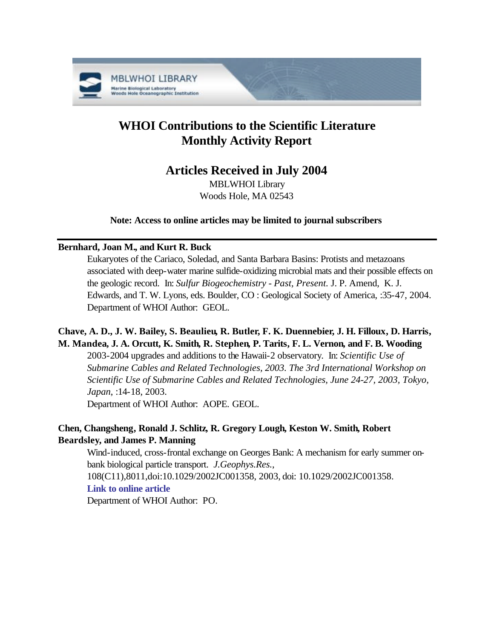

# **WHOI Contributions to the Scientific Literature Monthly Activity Report**

# **Articles Received in July 2004**

MBLWHOI Library Woods Hole, MA 02543

**Note: Access to online articles may be limited to journal subscribers**

### **Bernhard, Joan M., and Kurt R. Buck**

Eukaryotes of the Cariaco, Soledad, and Santa Barbara Basins: Protists and metazoans associated with deep-water marine sulfide-oxidizing microbial mats and their possible effects on the geologic record. In: *Sulfur Biogeochemistry - Past, Present.* J. P. Amend, K. J. Edwards, and T. W. Lyons, eds. Boulder, CO : Geological Society of America, :35-47, 2004. Department of WHOI Author: GEOL.

# **Chave, A. D., J. W. Bailey, S. Beaulieu, R. Butler, F. K. Duennebier, J. H. Filloux, D. Harris, M. Mandea, J. A. Orcutt, K. Smith, R. Stephen, P. Tarits, F. L. Vernon, and F. B. Wooding**

2003-2004 upgrades and additions to the Hawaii-2 observatory. In: *Scientific Use of Submarine Cables and Related Technologies, 2003. The 3rd International Workshop on Scientific Use of Submarine Cables and Related Technologies, June 24-27, 2003, Tokyo, Japan*, :14-18, 2003.

Department of WHOI Author: AOPE. GEOL.

# **Chen, Changsheng, Ronald J. Schlitz, R. Gregory Lough, Keston W. Smith, Robert Beardsley, and James P. Manning**

Wind-induced, cross-frontal exchange on Georges Bank: A mechanism for early summer onbank biological particle transport. *J.Geophys.Res.*, 108(C11),8011,doi:10.1029/2002JC001358, 2003, doi: 10.1029/2002JC001358.

### **[Link to online article](http://dx.doi.org/10.1029/2002JC001358)**

Department of WHOI Author: PO.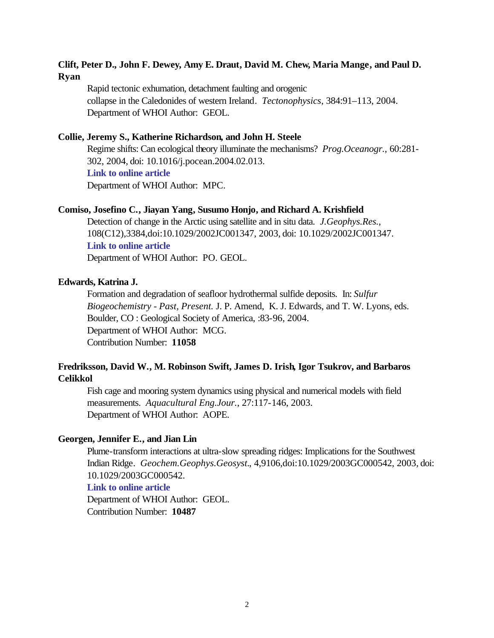### **Clift, Peter D., John F. Dewey, Amy E. Draut, David M. Chew, Maria Mange, and Paul D. Ryan**

Rapid tectonic exhumation, detachment faulting and orogenic collapse in the Caledonides of western Ireland. *Tectonophysics*, 384:91–113, 2004. Department of WHOI Author: GEOL.

### **Collie, Jeremy S., Katherine Richardson, and John H. Steele**

Regime shifts: Can ecological theory illuminate the mechanisms? *Prog.Oceanogr.*, 60:281- 302, 2004, doi: 10.1016/j.pocean.2004.02.013. **[Link to online article](http://dx.doi.org/10.1016/j.pocean.2004.02.013)**

Department of WHOI Author: MPC.

#### **Comiso, Josefino C., Jiayan Yang, Susumo Honjo, and Richard A. Krishfield**

Detection of change in the Arctic using satellite and in situ data. *J.Geophys.Res.*, 108(C12),3384,doi:10.1029/2002JC001347, 2003, doi: 10.1029/2002JC001347. **[Link to online article](http://dx.doi.org/10.1029/2002JC001347)** Department of WHOI Author: PO. GEOL.

#### **Edwards, Katrina J.**

Formation and degradation of seafloor hydrothermal sulfide deposits. In: *Sulfur Biogeochemistry - Past, Present.* J. P. Amend, K. J. Edwards, and T. W. Lyons, eds. Boulder, CO : Geological Society of America, :83-96, 2004. Department of WHOI Author: MCG. Contribution Number: **11058**

### **Fredriksson, David W., M. Robinson Swift, James D. Irish, Igor Tsukrov, and Barbaros Celikkol**

Fish cage and mooring system dynamics using physical and numerical models with field measurements. *Aquacultural Eng.Jour.*, 27:117-146, 2003. Department of WHOI Author: AOPE.

### **Georgen, Jennifer E., and Jian Lin**

Plume-transform interactions at ultra-slow spreading ridges: Implications for the Southwest Indian Ridge. *Geochem.Geophys.Geosyst.*, 4,9106,doi:10.1029/2003GC000542, 2003, doi: 10.1029/2003GC000542.

### **[Link to online article](http://dx.doi.org/10.1029/2003GC000542)**

Department of WHOI Author: GEOL. Contribution Number: **10487**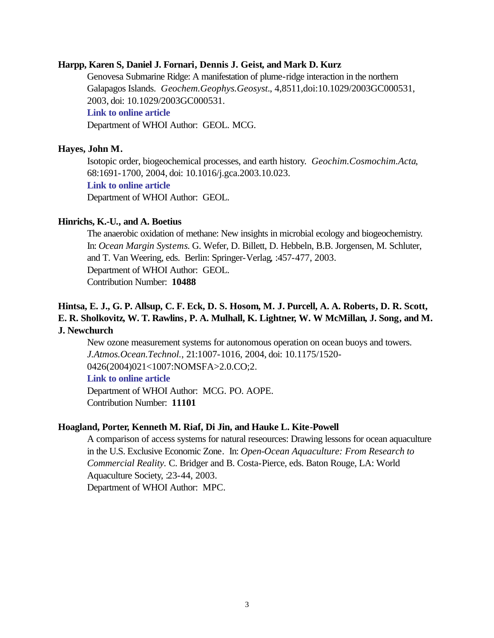### **Harpp, Karen S, Daniel J. Fornari, Dennis J. Geist, and Mark D. Kurz**

Genovesa Submarine Ridge: A manifestation of plume-ridge interaction in the northern Galapagos Islands. *Geochem.Geophys.Geosyst.*, 4,8511,doi:10.1029/2003GC000531, 2003, doi: 10.1029/2003GC000531.

### **[Link to online article](http://dx.doi.org/10.1029/2003GC000531)**

Department of WHOI Author: GEOL. MCG.

#### **Hayes, John M.**

Isotopic order, biogeochemical processes, and earth history. *Geochim.Cosmochim.Acta*, 68:1691-1700, 2004, doi: 10.1016/j.gca.2003.10.023.

### **[Link to online article](http://dx.doi.org/10.1016/j.gca.2003.10.023)**

Department of WHOI Author: GEOL.

#### **Hinrichs, K.-U., and A. Boetius**

The anaerobic oxidation of methane: New insights in microbial ecology and biogeochemistry. In: *Ocean Margin Systems*. G. Wefer, D. Billett, D. Hebbeln, B.B. Jorgensen, M. Schluter, and T. Van Weering, eds. Berlin: Springer-Verlag, :457-477, 2003. Department of WHOI Author: GEOL. Contribution Number: **10488**

### **Hintsa, E. J., G. P. Allsup, C. F. Eck, D. S. Hosom, M. J. Purcell, A. A. Roberts, D. R. Scott, E. R. Sholkovitz, W. T. Rawlins, P. A. Mulhall, K. Lightner, W. W McMillan, J. Song, and M. J. Newchurch**

New ozone measurement systems for autonomous operation on ocean buoys and towers. *J.Atmos.Ocean.Technol.*, 21:1007-1016, 2004, doi: 10.1175/1520- 0426(2004)021<1007:NOMSFA>2.0.CO;2.

#### **[Link to online article](http://dx.doi.org/10.1175/1520-0426(2004)021<1007:NOMSFA>2.0.CO;2)**

Department of WHOI Author: MCG. PO. AOPE. Contribution Number: **11101**

#### **Hoagland, Porter, Kenneth M. Riaf, Di Jin, and Hauke L. Kite-Powell**

A comparison of access systems for natural reseources: Drawing lessons for ocean aquaculture in the U.S. Exclusive Economic Zone. In: *Open-Ocean Aquaculture: From Research to Commercial Reality.* C. Bridger and B. Costa-Pierce, eds. Baton Rouge, LA: World Aquaculture Society, :23-44, 2003. Department of WHOI Author: MPC.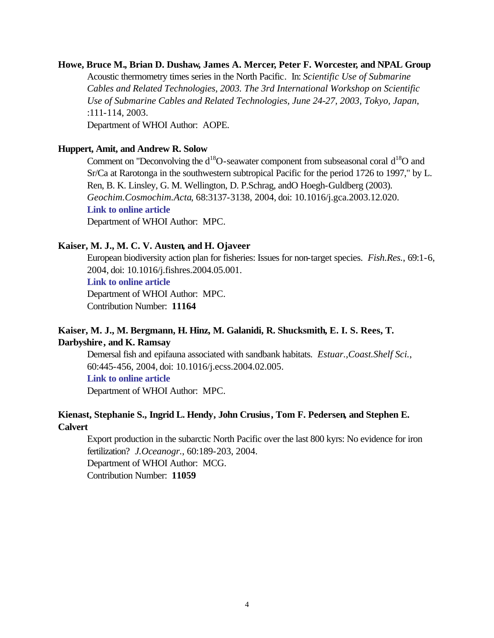# **Howe, Bruce M., Brian D. Dushaw, James A. Mercer, Peter F. Worcester, and NPAL Group** Acoustic thermometry times series in the North Pacific. In: *Scientific Use of Submarine Cables and Related Technologies, 2003. The 3rd International Workshop on Scientific Use of Submarine Cables and Related Technologies, June 24-27, 2003, Tokyo, Japan*, :111-114, 2003.

Department of WHOI Author: AOPE.

### **Huppert, Amit, and Andrew R. Solow**

Comment on "Deconvolving the  $d^{18}O$ -seawater component from subseasonal coral  $d^{18}O$  and Sr/Ca at Rarotonga in the southwestern subtropical Pacific for the period 1726 to 1997," by L. Ren, B. K. Linsley, G. M. Wellington, D. P.Schrag, andO Hoegh-Guldberg (2003). *Geochim.Cosmochim.Acta*, 68:3137-3138, 2004, doi: 10.1016/j.gca.2003.12.020. **[Link to online article](http://dx.doi.org/10.1016/j.gca.2003.12.020)** Department of WHOI Author: MPC.

### **Kaiser, M. J., M. C. V. Austen, and H. Ojaveer**

European biodiversity action plan for fisheries: Issues for non-target species. *Fish.Res.*, 69:1-6, 2004, doi: 10.1016/j.fishres.2004.05.001. **[Link to online article](http://dx.doi.org/10.1016/j.fishres.2004.05.001)**

Department of WHOI Author: MPC. Contribution Number: **11164**

### **Kaiser, M. J., M. Bergmann, H. Hinz, M. Galanidi, R. Shucksmith, E. I. S. Rees, T. Darbyshire, and K. Ramsay**

Demersal fish and epifauna associated with sandbank habitats. *Estuar.,Coast.Shelf Sci.*, 60:445-456, 2004, doi: 10.1016/j.ecss.2004.02.005.

### **[Link to online article](http://dx.doi.org/10.1016/j.ecss.2004.02.005)**

Department of WHOI Author: MPC.

### **Kienast, Stephanie S., Ingrid L. Hendy, John Crusius, Tom F. Pedersen, and Stephen E. Calvert**

Export production in the subarctic North Pacific over the last 800 kyrs: No evidence for iron fertilization? *J.Oceanogr.*, 60:189-203, 2004. Department of WHOI Author: MCG.

Contribution Number: **11059**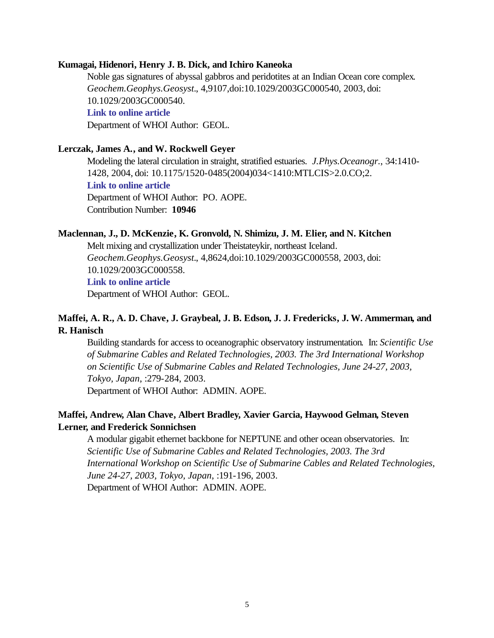### **Kumagai, Hidenori, Henry J. B. Dick, and Ichiro Kaneoka**

Noble gas signatures of abyssal gabbros and peridotites at an Indian Ocean core complex. *Geochem.Geophys.Geosyst.*, 4,9107,doi:10.1029/2003GC000540, 2003, doi: 10.1029/2003GC000540. **[Link to online article](http://dx.doi.org/10.1029/2003GC000540)** Department of WHOI Author: GEOL.

### **Lerczak, James A., and W. Rockwell Geyer**

Modeling the lateral circulation in straight, stratified estuaries. *J.Phys.Oceanogr.*, 34:1410- 1428, 2004, doi: 10.1175/1520-0485(2004)034<1410:MTLCIS>2.0.CO;2. **[Link to online article](http://dx.doi.org/10.1175/1520-0485(2004)034<1410:MTLCIS>2.0.CO;2)** Department of WHOI Author: PO. AOPE. Contribution Number: **10946**

#### **Maclennan, J., D. McKenzie, K. Gronvold, N. Shimizu, J. M. Elier, and N. Kitchen**

Melt mixing and crystallization under Theistateykir, northeast Iceland. *Geochem.Geophys.Geosyst.*, 4,8624,doi:10.1029/2003GC000558, 2003, doi: 10.1029/2003GC000558. **[Link to online article](http://dx.doi.org/10.1029/2003GC000558)**

Department of WHOI Author: GEOL.

### **Maffei, A. R., A. D. Chave, J. Graybeal, J. B. Edson, J. J. Fredericks, J. W. Ammerman, and R. Hanisch**

Building standards for access to oceanographic observatory instrumentation. In: *Scientific Use of Submarine Cables and Related Technologies, 2003. The 3rd International Workshop on Scientific Use of Submarine Cables and Related Technologies, June 24-27, 2003, Tokyo, Japan*, :279-284, 2003.

Department of WHOI Author: ADMIN. AOPE.

### **Maffei, Andrew, Alan Chave, Albert Bradley, Xavier Garcia, Haywood Gelman, Steven Lerner, and Frederick Sonnichsen**

A modular gigabit ethernet backbone for NEPTUNE and other ocean observatories. In: *Scientific Use of Submarine Cables and Related Technologies, 2003. The 3rd International Workshop on Scientific Use of Submarine Cables and Related Technologies, June 24-27, 2003, Tokyo, Japan*, :191-196, 2003. Department of WHOI Author: ADMIN. AOPE.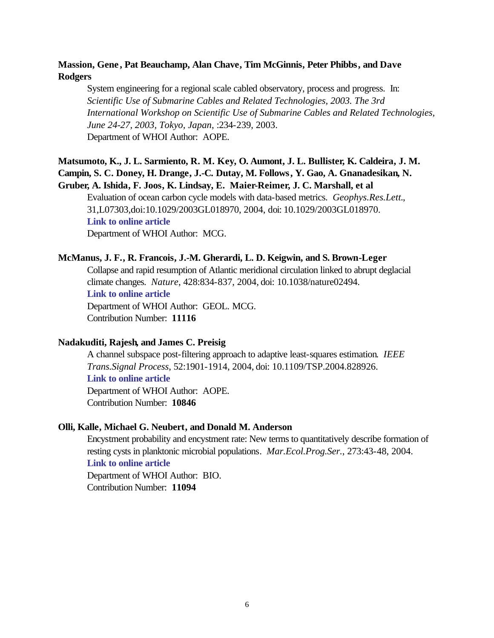### **Massion, Gene , Pat Beauchamp, Alan Chave, Tim McGinnis, Peter Phibbs, and Dave Rodgers**

System engineering for a regional scale cabled observatory, process and progress. In: *Scientific Use of Submarine Cables and Related Technologies, 2003. The 3rd International Workshop on Scientific Use of Submarine Cables and Related Technologies, June 24-27, 2003, Tokyo, Japan*, :234-239, 2003. Department of WHOI Author: AOPE.

### **Matsumoto, K., J. L. Sarmiento, R. M. Key, O. Aumont, J. L. Bullister, K. Caldeira, J. M. Campin, S. C. Doney, H. Drange, J.-C. Dutay, M. Follows, Y. Gao, A. Gnanadesikan, N. Gruber, A. Ishida, F. Joos, K. Lindsay, E. Maier-Reimer, J. C. Marshall, et al**

Evaluation of ocean carbon cycle models with data-based metrics. *Geophys.Res.Lett.*, 31,L07303,doi:10.1029/2003GL018970, 2004, doi: 10.1029/2003GL018970. **[Link to online article](http://dx.doi.org/10.1029/2003GL018970)** Department of WHOI Author: MCG.

### **McManus, J. F., R. Francois, J.-M. Gherardi, L. D. Keigwin, and S. Brown-Leger**

Collapse and rapid resumption of Atlantic meridional circulation linked to abrupt deglacial climate changes. *Nature*, 428:834-837, 2004, doi: 10.1038/nature02494. **[Link to online article](http://dx.doi.org/10.1038/nature02494)** Department of WHOI Author: GEOL. MCG. Contribution Number: **11116**

### **Nadakuditi, Rajesh, and James C. Preisig**

A channel subspace post-filtering approach to adaptive least-squares estimation. *IEEE Trans.Signal Process*, 52:1901-1914, 2004, doi: 10.1109/TSP.2004.828926. **[Link to online article](http://dx.doi.org/10.1109/TSP.2004.828926)** Department of WHOI Author: AOPE. Contribution Number: **10846**

### **Olli, Kalle, Michael G. Neubert, and Donald M. Anderson**

Encystment probability and encystment rate: New terms to quantitatively describe formation of resting cysts in planktonic microbial populations. *Mar.Ecol.Prog.Ser.*, 273:43-48, 2004. **[Link to online article](http://www.int-res.com/articles/meps2004/273/m273p043.pdf)** Department of WHOI Author: BIO.

Contribution Number: **11094**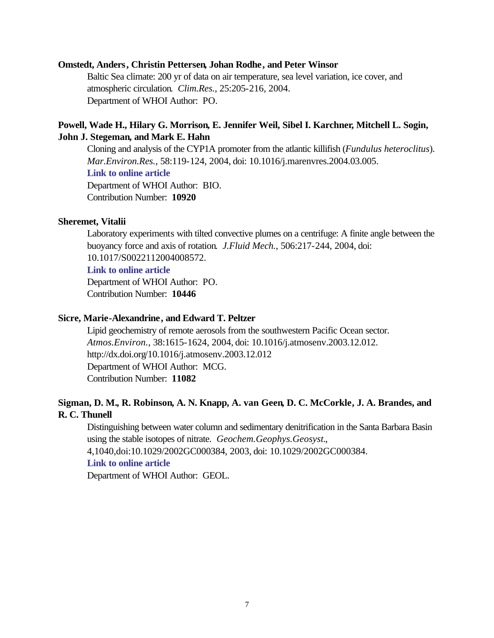#### **Omstedt, Anders, Christin Pettersen, Johan Rodhe, and Peter Winsor**

Baltic Sea climate: 200 yr of data on air temperature, sea level variation, ice cover, and atmospheric circulation. *Clim.Res.*, 25:205-216, 2004. Department of WHOI Author: PO.

### **Powell, Wade H., Hilary G. Morrison, E. Jennifer Weil, Sibel I. Karchner, Mitchell L. Sogin, John J. Stegeman, and Mark E. Hahn**

Cloning and analysis of the CYP1A promoter from the atlantic killifish (*Fundulus heteroclitus*). *Mar.Environ.Res.*, 58:119-124, 2004, doi: 10.1016/j.marenvres.2004.03.005. **[Link to online article](http://dx.doi.org/10.1016/j.marenvres.2004.03.005)**

Department of WHOI Author: BIO. Contribution Number: **10920**

### **Sheremet, Vitalii**

Laboratory experiments with tilted convective plumes on a centrifuge: A finite angle between the buoyancy force and axis of rotation. *J.Fluid Mech.*, 506:217-244, 2004, doi: 10.1017/S0022112004008572.

#### **[Link to online article](http://dx.doi.org/10.1017/S0022112004008572)**

Department of WHOI Author: PO. Contribution Number: **10446**

### **Sicre, Marie-Alexandrine, and Edward T. Peltzer**

Lipid geochemistry of remote aerosols from the southwestern Pacific Ocean sector. *Atmos.Environ.*, 38:1615-1624, 2004, doi: 10.1016/j.atmosenv.2003.12.012. http://dx.doi.org/10.1016/j.atmosenv.2003.12.012 Department of WHOI Author: MCG. Contribution Number: **11082**

### **Sigman, D. M., R. Robinson, A. N. Knapp, A. van Geen, D. C. McCorkle, J. A. Brandes, and R. C. Thunell**

Distinguishing between water column and sedimentary denitrification in the Santa Barbara Basin using the stable isotopes of nitrate. *Geochem.Geophys.Geosyst.*,

4,1040,doi:10.1029/2002GC000384, 2003, doi: 10.1029/2002GC000384.

#### **[Link to online article](http://dx.doi.org/10.1029/2002GC000384)**

Department of WHOI Author: GEOL.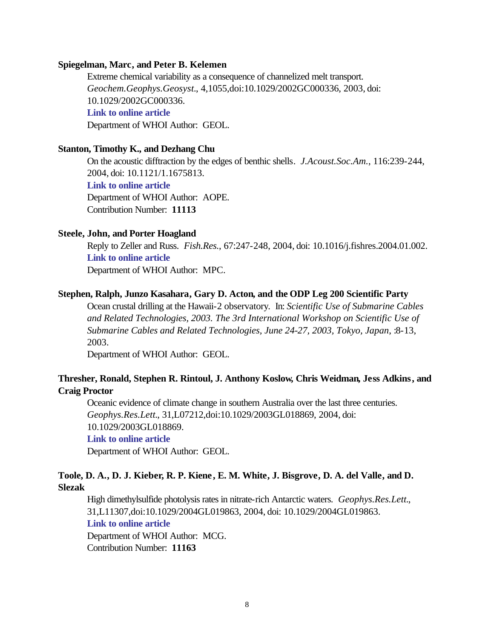### **Spiegelman, Marc, and Peter B. Kelemen**

Extreme chemical variability as a consequence of channelized melt transport. *Geochem.Geophys.Geosyst.*, 4,1055,doi:10.1029/2002GC000336, 2003, doi: 10.1029/2002GC000336. **[Link to online article](http://dx.doi.org/10.1029/2002GC000336)** Department of WHOI Author: GEOL.

### **Stanton, Timothy K., and Dezhang Chu**

On the acoustic difftraction by the edges of benthic shells. *J.Acoust.Soc.Am.*, 116:239-244, 2004, doi: 10.1121/1.1675813.

**[Link to online article](http://dx.doi.org/10.1121/1.1675813)**

Department of WHOI Author: AOPE. Contribution Number: **11113**

#### **Steele, John, and Porter Hoagland**

Reply to Zeller and Russ. *Fish.Res.*, 67:247-248, 2004, doi: 10.1016/j.fishres.2004.01.002. **[Link to online article](http://dx.doi.org/10.1016/j.fishres.2004.01.002)**

Department of WHOI Author: MPC.

### **Stephen, Ralph, Junzo Kasahara, Gary D. Acton, and the ODP Leg 200 Scientific Party**

Ocean crustal drilling at the Hawaii-2 observatory. In: *Scientific Use of Submarine Cables and Related Technologies, 2003. The 3rd International Workshop on Scientific Use of Submarine Cables and Related Technologies, June 24-27, 2003, Tokyo, Japan*, :8-13, 2003.

Department of WHOI Author: GEOL.

### **Thresher, Ronald, Stephen R. Rintoul, J. Anthony Koslow, Chris Weidman, Jess Adkins, and Craig Proctor**

Oceanic evidence of climate change in southern Australia over the last three centuries. *Geophys.Res.Lett.*, 31,L07212,doi:10.1029/2003GL018869, 2004, doi: 10.1029/2003GL018869.

### **[Link to online article](http://dx.doi.org/10.1029/2003GL018869)**

Department of WHOI Author: GEOL.

### **Toole, D. A., D. J. Kieber, R. P. Kiene, E. M. White, J. Bisgrove, D. A. del Valle, and D. Slezak**

High dimethylsulfide photolysis rates in nitrate-rich Antarctic waters. *Geophys.Res.Lett.*, 31,L11307,doi:10.1029/2004GL019863, 2004, doi: 10.1029/2004GL019863. **[Link to online article](http://dx.doi.org/10.1029/2004GL019863)**

Department of WHOI Author: MCG. Contribution Number: **11163**